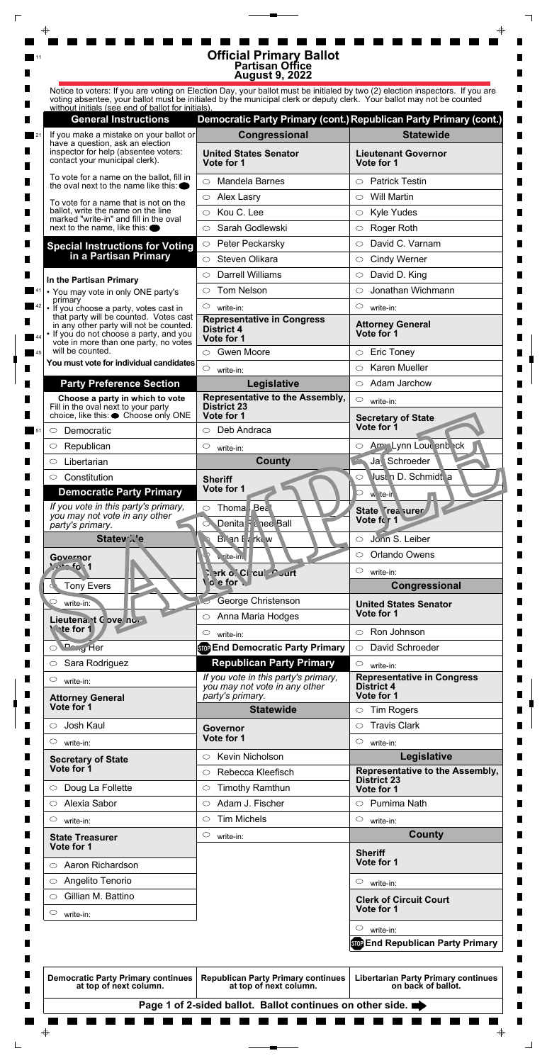|    |                                                                                                                                                                       | <b>Official Primary Ballot</b><br><b>Partisan Office</b><br><b>August 9, 2022</b>                                                                                                                                                                      |                                                                      |  |
|----|-----------------------------------------------------------------------------------------------------------------------------------------------------------------------|--------------------------------------------------------------------------------------------------------------------------------------------------------------------------------------------------------------------------------------------------------|----------------------------------------------------------------------|--|
|    |                                                                                                                                                                       | Notice to voters: If you are voting on Election Day, your ballot must be initialed by two (2) election inspectors. If you are<br>voting absentee, your ballot must be initialed by the municipal clerk or deputy clerk. Your ballot may not be counted |                                                                      |  |
|    | without initials (see end of ballot for initials).<br><b>General Instructions</b>                                                                                     |                                                                                                                                                                                                                                                        | Democratic Party Primary (cont.) Republican Party Primary (cont.)    |  |
|    | If you make a mistake on your ballot or                                                                                                                               | Congressional                                                                                                                                                                                                                                          | <b>Statewide</b>                                                     |  |
|    | have a question, ask an election<br>inspector for help (absentee voters:                                                                                              | <b>United States Senator</b>                                                                                                                                                                                                                           | <b>Lieutenant Governor</b>                                           |  |
|    | contact your municipal clerk).                                                                                                                                        | Vote for 1                                                                                                                                                                                                                                             | Vote for 1                                                           |  |
|    | To vote for a name on the ballot, fill in<br>the oval next to the name like this: $\bullet$                                                                           | Mandela Barnes<br>$\bigcirc$                                                                                                                                                                                                                           | <b>Patrick Testin</b><br>$\bigcirc$                                  |  |
|    | To vote for a name that is not on the                                                                                                                                 | <b>Alex Lasry</b><br>$\circ$                                                                                                                                                                                                                           | <b>Will Martin</b><br>$\circlearrowright$                            |  |
|    | ballot, write the name on the line<br>marked "write-in" and fill in the oval                                                                                          | Kou C. Lee<br>$\circ$                                                                                                                                                                                                                                  | <b>Kyle Yudes</b><br>$\circ$                                         |  |
|    | next to the name, like this: $\bullet$                                                                                                                                | Sarah Godlewski<br>◯                                                                                                                                                                                                                                   | Roger Roth<br>$\bigcirc$                                             |  |
|    | <b>Special Instructions for Voting</b>                                                                                                                                | Peter Peckarsky<br>$\circ$                                                                                                                                                                                                                             | David C. Varnam<br>◯                                                 |  |
|    | in a Partisan Primary                                                                                                                                                 | Steven Olikara<br>$\bigcirc$                                                                                                                                                                                                                           | <b>Cindy Werner</b><br>$\circ$                                       |  |
|    | In the Partisan Primary                                                                                                                                               | <b>Darrell Williams</b><br>⌒                                                                                                                                                                                                                           | David D. King<br>$\circlearrowright$                                 |  |
|    | • You may vote in only ONE party's                                                                                                                                    | <b>Tom Nelson</b><br>◯                                                                                                                                                                                                                                 | Jonathan Wichmann<br>◯                                               |  |
|    | primary<br>• If you choose a party, votes cast in                                                                                                                     | $\circ$<br>write-in:                                                                                                                                                                                                                                   | $\circlearrowright$<br>write-in:                                     |  |
|    | that party will be counted. Votes cast<br>in any other party will not be counted.<br>• If you do not choose a party, and you<br>vote in more than one party, no votes | <b>Representative in Congress</b><br><b>District 4</b><br>Vote for 1                                                                                                                                                                                   | <b>Attorney General</b><br>Vote for 1                                |  |
| 45 | will be counted.                                                                                                                                                      | <b>Gwen Moore</b><br>$\circ$                                                                                                                                                                                                                           | <b>Eric Toney</b><br>$\circlearrowright$                             |  |
|    | You must vote for individual candidates                                                                                                                               | $\circ$<br>write-in:                                                                                                                                                                                                                                   | <b>Karen Mueller</b><br>O                                            |  |
|    | <b>Party Preference Section</b>                                                                                                                                       | Legislative                                                                                                                                                                                                                                            | $\circ$ Adam Jarchow                                                 |  |
| ш  | Choose a party in which to vote<br>Fill in the oval next to your party                                                                                                | Representative to the Assembly,<br><b>District 23</b>                                                                                                                                                                                                  | $\circ$<br>write-in:                                                 |  |
|    | choice, like this: ● Choose only ONE                                                                                                                                  | Vote for 1                                                                                                                                                                                                                                             | <b>Secretary of State</b>                                            |  |
|    | Democratic<br>$\circ$                                                                                                                                                 | Deb Andraca<br>$\circ$                                                                                                                                                                                                                                 | Vote for 1                                                           |  |
|    | Republican<br>O.                                                                                                                                                      | $\circ$<br>write-in:                                                                                                                                                                                                                                   | Amy Lynn Lour enb ck<br>$\circ$                                      |  |
|    | Libertarian<br>$\circ$                                                                                                                                                | <b>County</b>                                                                                                                                                                                                                                          | Ja Schroeder                                                         |  |
|    | Constitution<br>$\circ$<br><b>Democratic Party Primary</b>                                                                                                            | <b>Sheriff</b><br>Vote for 1                                                                                                                                                                                                                           | Just n D. Schmidt a<br>O<br>w ite-in                                 |  |
|    | If you vote in this party's primary,                                                                                                                                  |                                                                                                                                                                                                                                                        |                                                                      |  |
|    | you may not vote in any other                                                                                                                                         | Thoma Bea<br>$\circ$                                                                                                                                                                                                                                   | State Trea surer                                                     |  |
|    | party's primary.                                                                                                                                                      | Denita F & nee Ball                                                                                                                                                                                                                                    | Vote for 1                                                           |  |
|    | <b>Statew</b> Ne                                                                                                                                                      | Brian F & rkew                                                                                                                                                                                                                                         | Jonn S. Leiber<br>$\circlearrowright$                                |  |
|    | Governor<br>20.1                                                                                                                                                      | v. rite-in.                                                                                                                                                                                                                                            | Orlando Owens<br>$\circ$                                             |  |
|    |                                                                                                                                                                       | िश o`Ci cui Curt<br>o e for                                                                                                                                                                                                                            | $\circ$<br>write-in:                                                 |  |
|    | <b>Tony Evers</b>                                                                                                                                                     |                                                                                                                                                                                                                                                        | Congressional                                                        |  |
|    | $\circ$<br>write-in:<br>Lieutena. t C ove no                                                                                                                          | George Christenson<br>Anna Maria Hodges<br>$\circ$                                                                                                                                                                                                     | <b>United States Senator</b><br>Vote for 1                           |  |
|    | <b>Wate for 1</b>                                                                                                                                                     | $\circ$<br>write-in:                                                                                                                                                                                                                                   | Ron Johnson<br>$\circ$                                               |  |
|    | O Dang Her                                                                                                                                                            | <b>Stop End Democratic Party Primary</b>                                                                                                                                                                                                               | David Schroeder<br>$\circ$                                           |  |
|    | Sara Rodriguez<br>$\circ$                                                                                                                                             | <b>Republican Party Primary</b>                                                                                                                                                                                                                        | $\circ$<br>write-in:                                                 |  |
|    | $\circlearrowright$<br>write-in:<br><b>Attorney General</b>                                                                                                           | If you vote in this party's primary,<br>you may not vote in any other<br>party's primary.                                                                                                                                                              | <b>Representative in Congress</b><br><b>District 4</b><br>Vote for 1 |  |
|    | Vote for 1                                                                                                                                                            | <b>Statewide</b>                                                                                                                                                                                                                                       | <b>Tim Rogers</b><br>$\circ$                                         |  |
|    | Josh Kaul<br>$\bigcirc$                                                                                                                                               | <b>Governor</b>                                                                                                                                                                                                                                        | <b>Travis Clark</b><br>$\circlearrowright$                           |  |
|    | C<br>write-in:                                                                                                                                                        | Vote for 1                                                                                                                                                                                                                                             | $\circlearrowright$<br>write-in:                                     |  |

| <b>Secretary of State</b>                                           | <b>NEVILL INIGHUISULE</b>                                           | Legislative                                                      |
|---------------------------------------------------------------------|---------------------------------------------------------------------|------------------------------------------------------------------|
| Vote for 1                                                          | Rebecca Kleefisch<br>$\bigcirc$                                     | Representative to the Assembly,                                  |
| Doug La Follette<br>$\circ$                                         | <b>Timothy Ramthun</b><br>$\circ$                                   | <b>District 23</b><br>Vote for 1                                 |
| Alexia Sabor<br>$\bigcirc$                                          | Adam J. Fischer<br>$\circ$                                          | Purnima Nath<br>$\bigcirc$                                       |
| $\circ$<br>write-in:                                                | <b>Tim Michels</b><br>$\circ$                                       | $\circ$<br>write-in:                                             |
| <b>State Treasurer</b>                                              | $\circ$<br>write-in:                                                | <b>County</b>                                                    |
| Vote for 1                                                          |                                                                     | <b>Sheriff</b>                                                   |
| Aaron Richardson<br>$\circ$                                         |                                                                     | Vote for 1                                                       |
| Angelito Tenorio<br>O                                               |                                                                     | $\circ$<br>write-in:                                             |
| Gillian M. Battino<br>◯                                             |                                                                     | <b>Clerk of Circuit Court</b>                                    |
| O<br>write-in:                                                      |                                                                     | Vote for 1                                                       |
|                                                                     |                                                                     | $\circ$<br>write-in:                                             |
|                                                                     |                                                                     | <b>Stop End Republican Party Primary</b>                         |
|                                                                     |                                                                     |                                                                  |
| <b>Democratic Party Primary continues</b><br>at top of next column. | <b>Republican Party Primary continues</b><br>at top of next column. | <b>Libertarian Party Primary continues</b><br>on back of ballot. |
|                                                                     | Page 1 of 2-sided ballot. Ballot continues on other side.           |                                                                  |
|                                                                     |                                                                     |                                                                  |
| $\bigoplus$                                                         |                                                                     | $\color{red} \blacklozenge$                                      |
|                                                                     |                                                                     |                                                                  |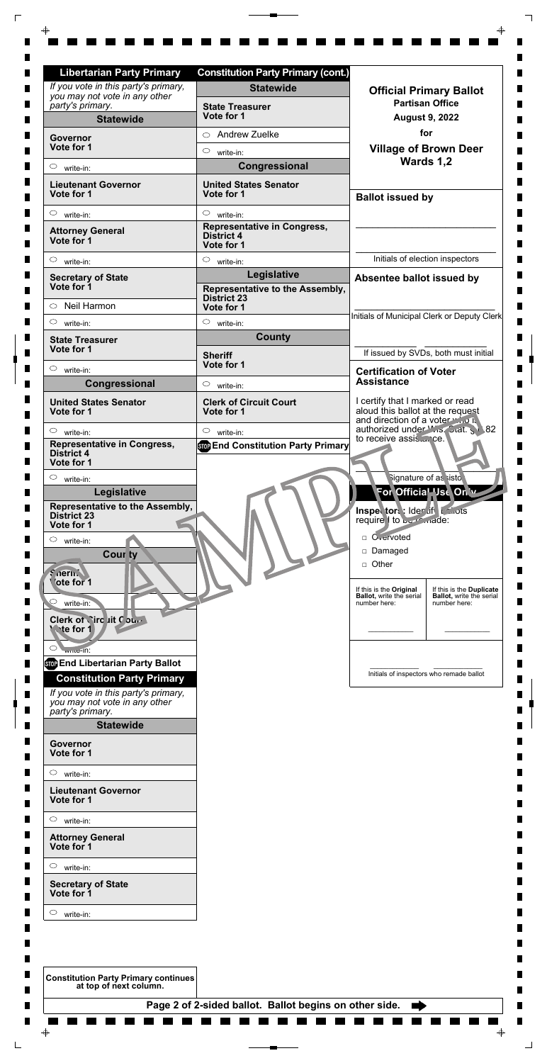| .                                                                     |                                                        |  |             |
|-----------------------------------------------------------------------|--------------------------------------------------------|--|-------------|
| $\circ$<br>write-in:                                                  |                                                        |  |             |
| <b>Lieutenant Governor</b><br>Vote for 1                              |                                                        |  |             |
| $\circ$<br>write-in:                                                  |                                                        |  |             |
| <b>Attorney General</b><br>Vote for 1                                 |                                                        |  |             |
| $\circ$<br>write-in:                                                  |                                                        |  |             |
| <b>Secretary of State</b><br>Vote for 1                               |                                                        |  |             |
| $\circ$<br>write-in:                                                  |                                                        |  |             |
| <b>Constitution Party Primary continues</b><br>at top of next column. |                                                        |  |             |
|                                                                       | Page 2 of 2-sided ballot. Ballot begins on other side. |  |             |
|                                                                       |                                                        |  |             |
| ⊕                                                                     |                                                        |  | $\bigoplus$ |

| <b>Libertarian Party Primary</b>                                                          | <b>Constitution Party Primary (cont.)</b>                             |                                                                                                        |
|-------------------------------------------------------------------------------------------|-----------------------------------------------------------------------|--------------------------------------------------------------------------------------------------------|
| If you vote in this party's primary,<br>you may not vote in any other                     | <b>Statewide</b>                                                      | <b>Official Primary Ballot</b>                                                                         |
| party's primary.<br><b>Statewide</b>                                                      | <b>State Treasurer</b><br>Vote for 1                                  | <b>Partisan Office</b><br><b>August 9, 2022</b>                                                        |
|                                                                                           | <b>Andrew Zuelke</b><br>$\bigcirc$                                    | for                                                                                                    |
| <b>Governor</b><br>Vote for 1                                                             | $\circ$                                                               | <b>Village of Brown Deer</b>                                                                           |
| $\circ$                                                                                   | write-in:<br>Congressional                                            | Wards 1,2                                                                                              |
| write-in:                                                                                 |                                                                       |                                                                                                        |
| <b>Lieutenant Governor</b><br>Vote for 1                                                  | <b>United States Senator</b><br>Vote for 1                            | <b>Ballot issued by</b>                                                                                |
| $\circ$<br>write-in:                                                                      | $\circ$<br>write-in:                                                  |                                                                                                        |
| <b>Attorney General</b><br>Vote for 1                                                     | <b>Representative in Congress,</b><br><b>District 4</b><br>Vote for 1 |                                                                                                        |
| $\circ$<br>write-in:                                                                      | $\circ$<br>write-in:                                                  | Initials of election inspectors                                                                        |
| <b>Secretary of State</b>                                                                 | Legislative                                                           | Absentee ballot issued by                                                                              |
| Vote for 1<br>Neil Harmon<br>$\circ$                                                      | Representative to the Assembly,<br><b>District 23</b>                 |                                                                                                        |
|                                                                                           | Vote for 1                                                            | Initials of Municipal Clerk or Deputy Clerk                                                            |
| $\circ$<br>write-in:                                                                      | $\circ$<br>write-in:<br><b>County</b>                                 |                                                                                                        |
| <b>State Treasurer</b><br>Vote for 1                                                      | <b>Sheriff</b>                                                        | If issued by SVDs, both must initial                                                                   |
| O<br>write-in:                                                                            | Vote for 1                                                            | <b>Certification of Voter</b>                                                                          |
| Congressional                                                                             | $\circ$<br>write-in:                                                  | <b>Assistance</b>                                                                                      |
| <b>United States Senator</b><br>Vote for 1                                                | <b>Clerk of Circuit Court</b><br>Vote for 1                           | I certify that I marked or read<br>aloud this ballot at the request<br>and direction of a voter who is |
| $\circ$<br>write-in:                                                                      | $\circ$<br>write-in:                                                  | authorized under Wis. Stat. S 82                                                                       |
| <b>Representative in Congress,</b><br><b>District 4</b><br>Vote for 1                     | <b>Stop End Constitution Party Primary</b>                            | to receive assis ce.                                                                                   |
| $\circ$<br>write-in:                                                                      |                                                                       | Signature of as sisto                                                                                  |
| Legislative                                                                               |                                                                       | For Official Use Only                                                                                  |
| Representative to the Assembly,<br><b>District 23</b>                                     |                                                                       | Inspector: Ider if Lanots                                                                              |
| Vote for 1                                                                                |                                                                       | require 1 to be made:                                                                                  |
| $\circ$<br>write-in:                                                                      |                                                                       | □ O <sub>vervoted</sub>                                                                                |
| <b>Cour ty</b>                                                                            |                                                                       | Damaged                                                                                                |
| <i><b>Snernive</b></i>                                                                    |                                                                       | □ Other                                                                                                |
| ote for 1                                                                                 |                                                                       | If this is the Original<br>If this is the Duplicate                                                    |
| write-in:                                                                                 |                                                                       | <b>Ballot</b> , write the serial<br><b>Ballot, write the serial</b><br>number here:<br>number here:    |
| Clerk of Nirc Lit Court                                                                   |                                                                       |                                                                                                        |
| <b>We for 1</b>                                                                           |                                                                       |                                                                                                        |
| $\circlearrowright$<br>write-In:                                                          |                                                                       |                                                                                                        |
| <b>SOP End Libertarian Party Ballot</b>                                                   |                                                                       |                                                                                                        |
| <b>Constitution Party Primary</b>                                                         |                                                                       | Initials of inspectors who remade ballot                                                               |
| If you vote in this party's primary,<br>you may not vote in any other<br>party's primary. |                                                                       |                                                                                                        |

 $\overline{\mathbb{F}}$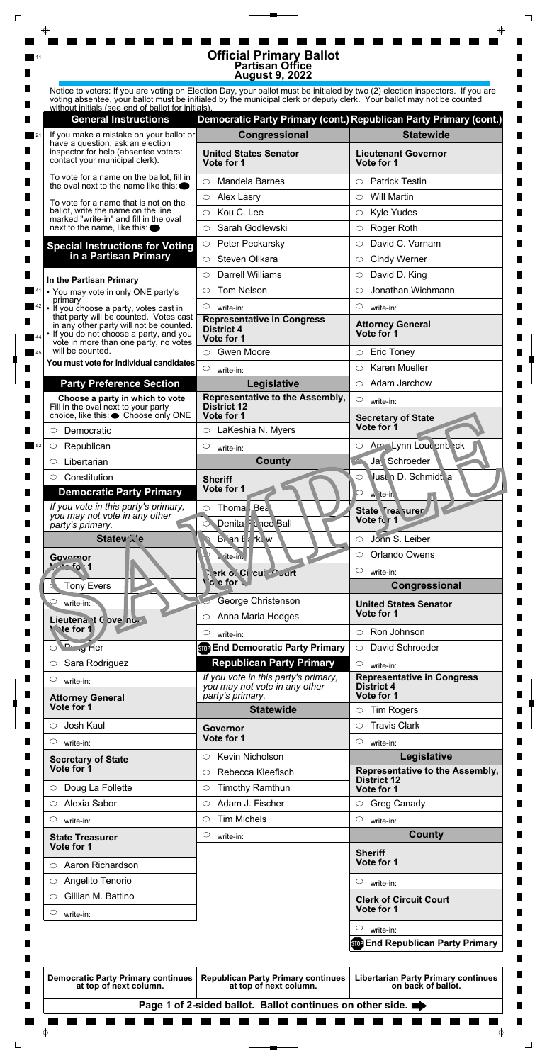|    |                                                                                                                                                                       | <b>Official Primary Ballot</b><br><b>Partisan Office</b><br><b>August 9, 2022</b>                                                                                                                                                                      |                                                                        |  |
|----|-----------------------------------------------------------------------------------------------------------------------------------------------------------------------|--------------------------------------------------------------------------------------------------------------------------------------------------------------------------------------------------------------------------------------------------------|------------------------------------------------------------------------|--|
|    | without initials (see end of ballot for initials).                                                                                                                    | Notice to voters: If you are voting on Election Day, your ballot must be initialed by two (2) election inspectors. If you are<br>voting absentee, your ballot must be initialed by the municipal clerk or deputy clerk. Your ballot may not be counted |                                                                        |  |
|    | <b>General Instructions</b>                                                                                                                                           | Democratic Party Primary (cont.) Republican Party Primary (cont.)                                                                                                                                                                                      |                                                                        |  |
|    | If you make a mistake on your ballot or                                                                                                                               | Congressional                                                                                                                                                                                                                                          | <b>Statewide</b>                                                       |  |
|    | have a question, ask an election<br>inspector for help (absentee voters:<br>contact your municipal clerk).                                                            | <b>United States Senator</b><br>Vote for 1                                                                                                                                                                                                             | <b>Lieutenant Governor</b><br>Vote for 1                               |  |
|    | To vote for a name on the ballot, fill in<br>the oval next to the name like this: $\bullet$                                                                           | Mandela Barnes<br>$\bigcirc$                                                                                                                                                                                                                           | <b>Patrick Testin</b><br>$\bigcirc$                                    |  |
|    | To vote for a name that is not on the                                                                                                                                 | <b>Alex Lasry</b><br>$\circ$                                                                                                                                                                                                                           | <b>Will Martin</b><br>$\circlearrowright$                              |  |
|    | ballot, write the name on the line                                                                                                                                    | Kou C. Lee<br>$\circ$                                                                                                                                                                                                                                  | <b>Kyle Yudes</b><br>$\circ$                                           |  |
|    | marked "write-in" and fill in the oval<br>next to the name, like this: $\bullet$                                                                                      | Sarah Godlewski<br>◯                                                                                                                                                                                                                                   | Roger Roth<br>$\bigcirc$                                               |  |
|    | <b>Special Instructions for Voting</b>                                                                                                                                | Peter Peckarsky<br>$\circ$                                                                                                                                                                                                                             | David C. Varnam<br>◯                                                   |  |
|    | in a Partisan Primary                                                                                                                                                 | Steven Olikara<br>$\bigcirc$                                                                                                                                                                                                                           | <b>Cindy Werner</b><br>$\circ$                                         |  |
|    | In the Partisan Primary                                                                                                                                               | <b>Darrell Williams</b><br>⌒                                                                                                                                                                                                                           | David D. King<br>$\circlearrowright$                                   |  |
|    | • You may vote in only ONE party's                                                                                                                                    | <b>Tom Nelson</b><br>◯                                                                                                                                                                                                                                 | Jonathan Wichmann<br>◯                                                 |  |
|    | primary<br>• If you choose a party, votes cast in                                                                                                                     | $\circ$<br>write-in:                                                                                                                                                                                                                                   | $\circlearrowright$<br>write-in:                                       |  |
|    | that party will be counted. Votes cast<br>in any other party will not be counted.<br>• If you do not choose a party, and you<br>vote in more than one party, no votes | <b>Representative in Congress</b><br><b>District 4</b><br>Vote for 1                                                                                                                                                                                   | <b>Attorney General</b><br>Vote for 1                                  |  |
| 45 | will be counted.                                                                                                                                                      | <b>Gwen Moore</b><br>$\circ$                                                                                                                                                                                                                           | <b>Eric Toney</b><br>$\circlearrowright$                               |  |
|    | You must vote for individual candidates                                                                                                                               | $\circ$<br>write-in:                                                                                                                                                                                                                                   | <b>Karen Mueller</b><br>O                                              |  |
|    | <b>Party Preference Section</b>                                                                                                                                       | Legislative                                                                                                                                                                                                                                            | $\circ$ Adam Jarchow                                                   |  |
| ш  | Choose a party in which to vote<br>Fill in the oval next to your party<br>choice, like this: ● Choose only ONE                                                        | Representative to the Assembly,<br><b>District 12</b><br>Vote for 1                                                                                                                                                                                    | $\circ$<br>write-in:<br><b>Secretary of State</b>                      |  |
|    | Democratic                                                                                                                                                            | LaKeshia N. Myers<br>$\circ$                                                                                                                                                                                                                           | Vote for 1                                                             |  |
|    | Republican<br>$\circ$                                                                                                                                                 | $\circ$<br>write-in:                                                                                                                                                                                                                                   | Amy Lynn Lour enb ck<br>$\circ$                                        |  |
|    | Libertarian<br>$\circ$                                                                                                                                                | <b>County</b>                                                                                                                                                                                                                                          | Ja Schroeder                                                           |  |
|    | Constitution<br>$\circ$<br><b>Democratic Party Primary</b><br>If you vote in this party's primary,<br>you may not vote in any other                                   | <b>Sheriff</b><br>Vote for 1<br>Thoma Bea<br>$\circ$                                                                                                                                                                                                   | Just n D. Schmidt a<br>O<br>w ite-in<br>State Trea surer<br>Vote for 1 |  |
|    | party's primary.                                                                                                                                                      | Denita F & nee Ball                                                                                                                                                                                                                                    |                                                                        |  |
|    | <b>Statew</b> Ne                                                                                                                                                      | Brian F a rkuw                                                                                                                                                                                                                                         | Jonn S. Leiber<br>$\circlearrowright$                                  |  |
|    | Governor<br>20.1                                                                                                                                                      | v. rite-in.                                                                                                                                                                                                                                            | Orlando Owens<br>$\circ$<br>$\circ$                                    |  |
|    | <b>Tony Evers</b>                                                                                                                                                     | िश o`Ci cui Curt<br>o e for                                                                                                                                                                                                                            | write-in:<br>Congressional                                             |  |
|    | $\circ$<br>write-in:                                                                                                                                                  | George Christenson                                                                                                                                                                                                                                     | <b>United States Senator</b>                                           |  |
|    | Lieutena. t C ove no<br><b>Wate for 1</b>                                                                                                                             | Anna Maria Hodges<br>$\circ$<br>$\circ$                                                                                                                                                                                                                | Vote for 1<br>Ron Johnson<br>$\circ$                                   |  |
|    | O Dang Her                                                                                                                                                            | write-in:<br><b>Stop End Democratic Party Primary</b>                                                                                                                                                                                                  | David Schroeder<br>$\circ$                                             |  |
|    | Sara Rodriguez<br>$\circ$                                                                                                                                             | <b>Republican Party Primary</b>                                                                                                                                                                                                                        | $\circ$<br>write-in:                                                   |  |
|    | $\circlearrowright$<br>write-in:                                                                                                                                      | If you vote in this party's primary,                                                                                                                                                                                                                   | <b>Representative in Congress</b>                                      |  |
|    | <b>Attorney General</b><br>Vote for 1                                                                                                                                 | you may not vote in any other<br>party's primary.<br><b>Statewide</b>                                                                                                                                                                                  | <b>District 4</b><br>Vote for 1<br><b>Tim Rogers</b><br>$\circ$        |  |
|    |                                                                                                                                                                       |                                                                                                                                                                                                                                                        |                                                                        |  |
|    | $\bigcirc$                                                                                                                                                            |                                                                                                                                                                                                                                                        | $\circlearrowright$                                                    |  |
|    | Josh Kaul                                                                                                                                                             | <b>Governor</b><br>Vote for 1                                                                                                                                                                                                                          | <b>Travis Clark</b>                                                    |  |
|    | C<br>write-in:<br><b>Secretary of State</b>                                                                                                                           | <b>Kevin Nicholson</b><br>$\circ$                                                                                                                                                                                                                      | $\circlearrowright$<br>write-in:<br>Legislative                        |  |

| <b>Secretary of State</b>                                           | <b>NEVILL INIGHUISULE</b>                                           | Legislative                                                      |
|---------------------------------------------------------------------|---------------------------------------------------------------------|------------------------------------------------------------------|
| Vote for 1                                                          | Rebecca Kleefisch<br>$\bigcirc$                                     | Representative to the Assembly,                                  |
| Doug La Follette<br>$\circ$                                         | <b>Timothy Ramthun</b><br>$\circ$                                   | <b>District 12</b><br>Vote for 1                                 |
| Alexia Sabor<br>$\bigcirc$                                          | Adam J. Fischer<br>$\circ$                                          | <b>Greg Canady</b><br>$\circ$                                    |
| $\circ$<br>write-in:                                                | <b>Tim Michels</b><br>$\circ$                                       | $\circ$<br>write-in:                                             |
| <b>State Treasurer</b>                                              | $\circ$<br>write-in:                                                | <b>County</b>                                                    |
| Vote for 1                                                          |                                                                     | <b>Sheriff</b>                                                   |
| Aaron Richardson<br>$\circ$                                         |                                                                     | Vote for 1                                                       |
| Angelito Tenorio<br>O                                               |                                                                     | $\circ$<br>write-in:                                             |
| Gillian M. Battino<br>◯                                             |                                                                     | <b>Clerk of Circuit Court</b>                                    |
| O<br>write-in:                                                      |                                                                     | Vote for 1                                                       |
|                                                                     |                                                                     | $\circ$<br>write-in:                                             |
|                                                                     |                                                                     | <b>STOP End Republican Party Primary</b>                         |
|                                                                     |                                                                     |                                                                  |
| <b>Democratic Party Primary continues</b><br>at top of next column. | <b>Republican Party Primary continues</b><br>at top of next column. | <b>Libertarian Party Primary continues</b><br>on back of ballot. |
|                                                                     | Page 1 of 2-sided ballot. Ballot continues on other side.           |                                                                  |
|                                                                     |                                                                     |                                                                  |
| $\bigoplus$                                                         |                                                                     | $\color{red} \blacklozenge$                                      |
|                                                                     |                                                                     |                                                                  |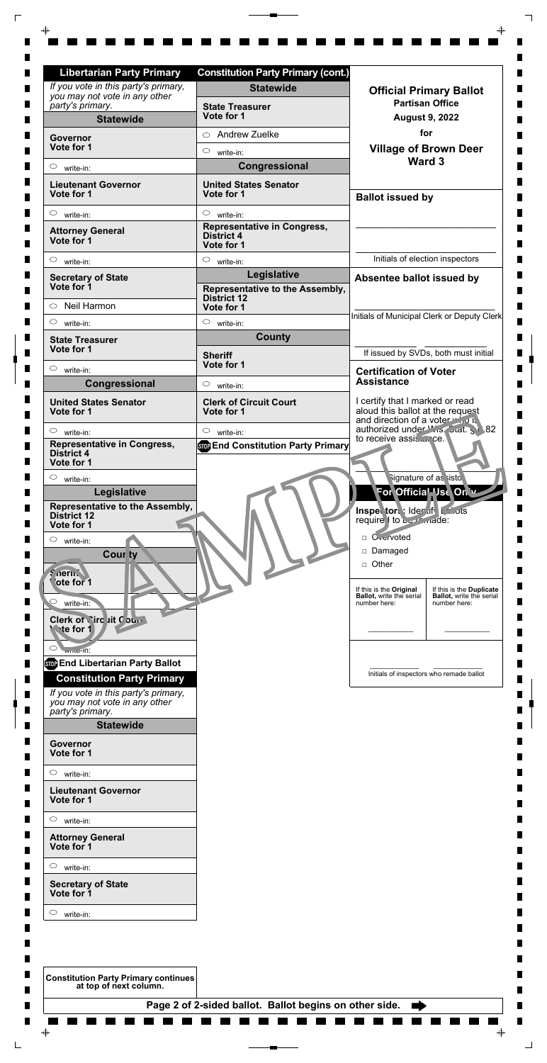| .                                                                     |                                                        |  |             |
|-----------------------------------------------------------------------|--------------------------------------------------------|--|-------------|
| $\circ$<br>write-in:                                                  |                                                        |  |             |
| <b>Lieutenant Governor</b><br>Vote for 1                              |                                                        |  |             |
| $\circ$<br>write-in:                                                  |                                                        |  |             |
| <b>Attorney General</b><br>Vote for 1                                 |                                                        |  |             |
| $\circ$<br>write-in:                                                  |                                                        |  |             |
| <b>Secretary of State</b><br>Vote for 1                               |                                                        |  |             |
| $\circ$<br>write-in:                                                  |                                                        |  |             |
| <b>Constitution Party Primary continues</b><br>at top of next column. |                                                        |  |             |
|                                                                       | Page 2 of 2-sided ballot. Ballot begins on other side. |  |             |
|                                                                       |                                                        |  |             |
| ⊕                                                                     |                                                        |  | $\bigoplus$ |

| <b>Libertarian Party Primary</b>                                                          | <b>Constitution Party Primary (cont.)</b>                             |                                                                                                                            |
|-------------------------------------------------------------------------------------------|-----------------------------------------------------------------------|----------------------------------------------------------------------------------------------------------------------------|
| If you vote in this party's primary,<br>you may not vote in any other                     | <b>Statewide</b>                                                      | <b>Official Primary Ballot</b>                                                                                             |
| party's primary.<br><b>Statewide</b>                                                      | <b>State Treasurer</b><br>Vote for 1                                  | <b>Partisan Office</b><br><b>August 9, 2022</b>                                                                            |
|                                                                                           | <b>Andrew Zuelke</b><br>$\bigcirc$                                    | for                                                                                                                        |
| <b>Governor</b><br>Vote for 1                                                             | $\circ$<br>write-in:                                                  | <b>Village of Brown Deer</b>                                                                                               |
| $\circ$<br>write-in:                                                                      | Congressional                                                         | Ward 3                                                                                                                     |
| <b>Lieutenant Governor</b><br>Vote for 1                                                  | <b>United States Senator</b><br>Vote for 1                            | <b>Ballot issued by</b>                                                                                                    |
| $\circ$<br>write-in:                                                                      | $\circ$<br>write-in:                                                  |                                                                                                                            |
| <b>Attorney General</b><br>Vote for 1                                                     | <b>Representative in Congress,</b><br><b>District 4</b><br>Vote for 1 |                                                                                                                            |
| $\circ$<br>write-in:                                                                      | $\circ$<br>write-in:                                                  | Initials of election inspectors                                                                                            |
| <b>Secretary of State</b>                                                                 | Legislative                                                           | Absentee ballot issued by                                                                                                  |
| Vote for 1<br>Neil Harmon<br>$\circ$                                                      | Representative to the Assembly,<br><b>District 12</b><br>Vote for 1   |                                                                                                                            |
| $\circ$<br>write-in:                                                                      | $\circ$<br>write-in:                                                  | Initials of Municipal Clerk or Deputy Clerk                                                                                |
| <b>State Treasurer</b>                                                                    | <b>County</b>                                                         |                                                                                                                            |
| Vote for 1                                                                                | <b>Sheriff</b>                                                        | If issued by SVDs, both must initial                                                                                       |
| O<br>write-in:                                                                            | Vote for 1                                                            | <b>Certification of Voter</b>                                                                                              |
| Congressional                                                                             | $\circ$<br>write-in:                                                  | <b>Assistance</b>                                                                                                          |
| <b>United States Senator</b><br>Vote for 1                                                | <b>Clerk of Circuit Court</b><br>Vote for 1                           | I certify that I marked or read<br>aloud this ballot at the request<br>and direction of a voter who is                     |
| $\circ$<br>write-in:                                                                      | $\circ$<br>write-in:                                                  | authorized under Wis. Stat. S 82<br>to receive assis ce.                                                                   |
| <b>Representative in Congress,</b><br><b>District 4</b><br>Vote for 1                     | <b>Stop End Constitution Party Primary</b>                            |                                                                                                                            |
| $\circ$<br>write-in:                                                                      |                                                                       | Signature of as sisto                                                                                                      |
| Legislative                                                                               |                                                                       | For Official Use Only                                                                                                      |
| Representative to the Assembly,<br><b>District 12</b>                                     |                                                                       | Inspector: Ider if Lanots                                                                                                  |
| Vote for 1                                                                                |                                                                       | require 1 to be made:                                                                                                      |
| $\circ$<br>write-in:                                                                      |                                                                       | □ O <sub>vervoted</sub><br>Damaged                                                                                         |
| <b>Cour ty</b>                                                                            |                                                                       | □ Other                                                                                                                    |
| <i><b>Snernive</b></i><br>ote for 1                                                       |                                                                       |                                                                                                                            |
|                                                                                           |                                                                       | If this is the Original<br>If this is the Duplicate<br><b>Ballot</b> , write the serial<br><b>Ballot, write the serial</b> |
| write-in:                                                                                 |                                                                       | number here:<br>number here:                                                                                               |
| Clerk of Nirc Lit Court<br><b>We for 1</b>                                                |                                                                       |                                                                                                                            |
| $\circlearrowright$<br>write-In:                                                          |                                                                       |                                                                                                                            |
| <b>SOP End Libertarian Party Ballot</b>                                                   |                                                                       |                                                                                                                            |
| <b>Constitution Party Primary</b>                                                         |                                                                       | Initials of inspectors who remade ballot                                                                                   |
| If you vote in this party's primary,<br>you may not vote in any other<br>party's primary. |                                                                       |                                                                                                                            |

 $\overline{\mathbb{F}}$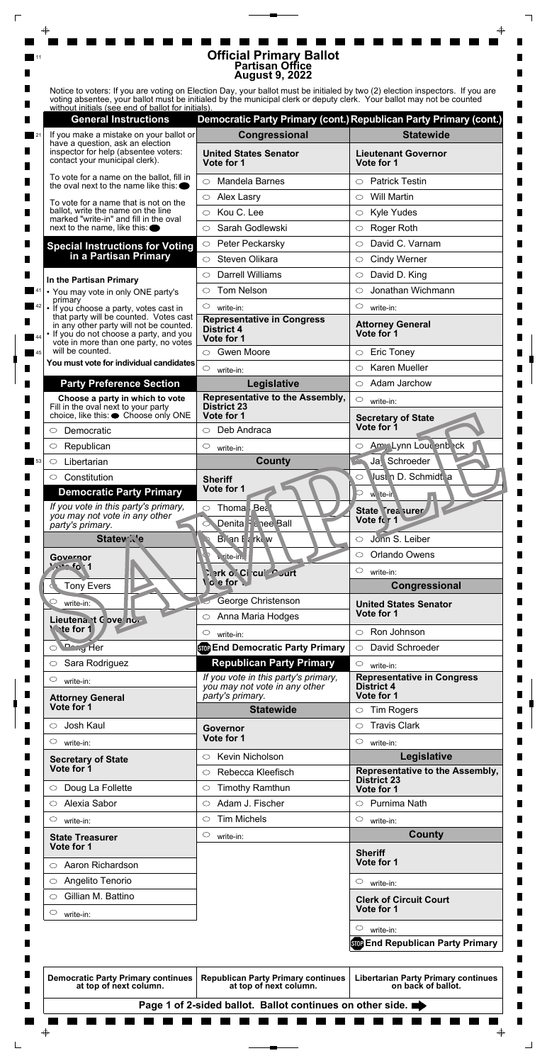|    |                                                                                             | <b>Official Primary Ballot</b>                                                                                                                                                                                                                         |                                                                   |  |
|----|---------------------------------------------------------------------------------------------|--------------------------------------------------------------------------------------------------------------------------------------------------------------------------------------------------------------------------------------------------------|-------------------------------------------------------------------|--|
|    |                                                                                             | <b>Partisan Office</b><br><b>August 9, 2022</b>                                                                                                                                                                                                        |                                                                   |  |
|    |                                                                                             |                                                                                                                                                                                                                                                        |                                                                   |  |
|    |                                                                                             | Notice to voters: If you are voting on Election Day, your ballot must be initialed by two (2) election inspectors. If you are<br>voting absentee, your ballot must be initialed by the municipal clerk or deputy clerk. Your ballot may not be counted |                                                                   |  |
|    | without initials (see end of ballot for initials).                                          |                                                                                                                                                                                                                                                        |                                                                   |  |
|    | <b>General Instructions</b>                                                                 |                                                                                                                                                                                                                                                        | Democratic Party Primary (cont.) Republican Party Primary (cont.) |  |
|    | If you make a mistake on your ballot or<br>have a question, ask an election                 | Congressional                                                                                                                                                                                                                                          | <b>Statewide</b>                                                  |  |
|    | inspector for help (absentee voters:<br>contact your municipal clerk).                      | <b>United States Senator</b><br>Vote for 1                                                                                                                                                                                                             | <b>Lieutenant Governor</b><br>Vote for 1                          |  |
|    | To vote for a name on the ballot, fill in<br>the oval next to the name like this: $\bullet$ | <b>Mandela Barnes</b><br>$\bigcirc$                                                                                                                                                                                                                    | <b>Patrick Testin</b><br>$\bigcirc$                               |  |
|    |                                                                                             | Alex Lasry<br>$\circ$                                                                                                                                                                                                                                  | <b>Will Martin</b><br>$\circlearrowright$                         |  |
|    | To vote for a name that is not on the<br>ballot, write the name on the line                 | Kou C. Lee<br>$\circ$                                                                                                                                                                                                                                  | <b>Kyle Yudes</b><br>$\circ$                                      |  |
|    | marked "write-in" and fill in the oval<br>next to the name, like this: $\bullet$            | Sarah Godlewski<br>◯                                                                                                                                                                                                                                   | Roger Roth                                                        |  |
|    |                                                                                             | Peter Peckarsky<br>$\circ$                                                                                                                                                                                                                             | David C. Varnam<br>◯                                              |  |
|    | <b>Special Instructions for Voting</b><br>in a Partisan Primary                             |                                                                                                                                                                                                                                                        |                                                                   |  |
|    |                                                                                             | Steven Olikara<br>$\bigcirc$                                                                                                                                                                                                                           | <b>Cindy Werner</b><br>$\circ$                                    |  |
|    | In the Partisan Primary                                                                     | <b>Darrell Williams</b><br>⌒                                                                                                                                                                                                                           | David D. King<br>$\circlearrowright$                              |  |
|    | • You may vote in only ONE party's<br>primary                                               | <b>Tom Nelson</b><br>◯                                                                                                                                                                                                                                 | Jonathan Wichmann<br>◯                                            |  |
|    | • If you choose a party, votes cast in                                                      | $\circ$<br>write-in:                                                                                                                                                                                                                                   | $\circlearrowright$<br>write-in:                                  |  |
|    | that party will be counted. Votes cast<br>in any other party will not be counted.           | <b>Representative in Congress</b><br><b>District 4</b>                                                                                                                                                                                                 | <b>Attorney General</b>                                           |  |
|    | • If you do not choose a party, and you<br>vote in more than one party, no votes            | Vote for 1                                                                                                                                                                                                                                             | Vote for 1                                                        |  |
| 45 | will be counted.                                                                            | <b>Gwen Moore</b><br>$\circ$                                                                                                                                                                                                                           | <b>Eric Toney</b><br>$\circlearrowright$                          |  |
|    | You must vote for individual candidates                                                     | $\circ$<br>write-in:                                                                                                                                                                                                                                   | <b>Karen Mueller</b><br>O                                         |  |
|    | <b>Party Preference Section</b>                                                             | Legislative                                                                                                                                                                                                                                            | $\circ$ Adam Jarchow                                              |  |
|    |                                                                                             |                                                                                                                                                                                                                                                        |                                                                   |  |
| ш  | Choose a party in which to vote                                                             | Representative to the Assembly,                                                                                                                                                                                                                        | $\circ$                                                           |  |
|    | Fill in the oval next to your party                                                         | <b>District 23</b>                                                                                                                                                                                                                                     | write-in:                                                         |  |
|    | choice, like this: ● Choose only ONE                                                        | Vote for 1                                                                                                                                                                                                                                             | <b>Secretary of State</b><br>Vote for 1                           |  |
|    | Democratic                                                                                  | Deb Andraca<br>$\circ$                                                                                                                                                                                                                                 |                                                                   |  |
|    | Republican<br>O                                                                             | $\circ$<br>write-in:                                                                                                                                                                                                                                   | Amy Lynn Lour enb ck<br>$\circ$                                   |  |
|    | Libertarian<br>$\circlearrowright$                                                          | <b>County</b>                                                                                                                                                                                                                                          | Ja Schroeder                                                      |  |
|    | $\circ$ Constitution                                                                        | <b>Sheriff</b>                                                                                                                                                                                                                                         | Just n D. Schmidt a<br>O                                          |  |
|    | <b>Democratic Party Primary</b>                                                             | Vote for 1                                                                                                                                                                                                                                             | w ite-in                                                          |  |
|    | If you vote in this party's primary,                                                        | Thoma Bea<br>$\circ$                                                                                                                                                                                                                                   | State Trea surer                                                  |  |
|    | you may not vote in any other<br>party's primary.                                           | Denita F & nee Ball                                                                                                                                                                                                                                    | Vote for 1                                                        |  |
|    | <b>Statew</b> Ne                                                                            | Bian I a rkuw                                                                                                                                                                                                                                          | Jonn S. Leiber<br>$\circlearrowright$                             |  |
|    | Governor                                                                                    | v. rite-in.                                                                                                                                                                                                                                            | Orlando Owens<br>$\circ$                                          |  |
|    | $2c - 6$                                                                                    |                                                                                                                                                                                                                                                        | $\circ$<br>write-in:                                              |  |
|    | <b>Tony Evers</b>                                                                           | िश o`Ci cui Curt<br>o e for                                                                                                                                                                                                                            | Congressional                                                     |  |
|    | $\circ$                                                                                     |                                                                                                                                                                                                                                                        |                                                                   |  |
|    | write-in:                                                                                   | George Christenson<br>$\circ$                                                                                                                                                                                                                          | <b>United States Senator</b><br>Vote for 1                        |  |
|    | Lieutena. t C ove no<br><b>Wate for 1</b>                                                   | Anna Maria Hodges                                                                                                                                                                                                                                      |                                                                   |  |
|    |                                                                                             | $\circ$<br>write-in:                                                                                                                                                                                                                                   | Ron Johnson<br>$\circ$                                            |  |
|    | O Dang Her                                                                                  | <b>Stop End Democratic Party Primary</b>                                                                                                                                                                                                               | David Schroeder<br>$\circ$                                        |  |
|    | Sara Rodriguez<br>$\circ$                                                                   | <b>Republican Party Primary</b>                                                                                                                                                                                                                        | $\circ$<br>write-in:                                              |  |
|    | $\circlearrowright$<br>write-in:                                                            | If you vote in this party's primary,<br>you may not vote in any other                                                                                                                                                                                  | <b>Representative in Congress</b><br><b>District 4</b>            |  |
|    | <b>Attorney General</b>                                                                     | party's primary.                                                                                                                                                                                                                                       | Vote for 1                                                        |  |
|    | Vote for 1                                                                                  | <b>Statewide</b>                                                                                                                                                                                                                                       | <b>Tim Rogers</b><br>$\circ$                                      |  |
|    | Josh Kaul<br>$\bigcirc$                                                                     | <b>Governor</b>                                                                                                                                                                                                                                        | <b>Travis Clark</b><br>$\circ$                                    |  |
|    | C<br>write-in:                                                                              | Vote for 1                                                                                                                                                                                                                                             | $\circlearrowright$<br>write-in:                                  |  |

| <b>Secretary of State</b>                                           | <b>NEVILL INIGHUISULE</b>                                           | Legislative                                                      |
|---------------------------------------------------------------------|---------------------------------------------------------------------|------------------------------------------------------------------|
| Vote for 1                                                          | Rebecca Kleefisch<br>$\bigcirc$                                     | Representative to the Assembly,                                  |
| Doug La Follette<br>$\circ$                                         | <b>Timothy Ramthun</b><br>$\circ$                                   | <b>District 23</b><br>Vote for 1                                 |
| Alexia Sabor<br>$\bigcirc$                                          | Adam J. Fischer<br>$\circ$                                          | Purnima Nath<br>$\bigcirc$                                       |
| $\circ$<br>write-in:                                                | <b>Tim Michels</b><br>$\circ$                                       | $\circ$<br>write-in:                                             |
| <b>State Treasurer</b>                                              | $\circ$<br>write-in:                                                | <b>County</b>                                                    |
| Vote for 1                                                          |                                                                     | <b>Sheriff</b>                                                   |
| Aaron Richardson<br>$\circ$                                         |                                                                     | Vote for 1                                                       |
| Angelito Tenorio<br>O                                               |                                                                     | $\circ$<br>write-in:                                             |
| Gillian M. Battino<br>◯                                             |                                                                     | <b>Clerk of Circuit Court</b>                                    |
| O<br>write-in:                                                      |                                                                     | Vote for 1                                                       |
|                                                                     |                                                                     | $\circ$<br>write-in:                                             |
|                                                                     |                                                                     | <b>Stop End Republican Party Primary</b>                         |
|                                                                     |                                                                     |                                                                  |
| <b>Democratic Party Primary continues</b><br>at top of next column. | <b>Republican Party Primary continues</b><br>at top of next column. | <b>Libertarian Party Primary continues</b><br>on back of ballot. |
|                                                                     | Page 1 of 2-sided ballot. Ballot continues on other side.           |                                                                  |
|                                                                     |                                                                     |                                                                  |
| $\bigoplus$                                                         |                                                                     | $\color{red} \blacklozenge$                                      |
|                                                                     |                                                                     |                                                                  |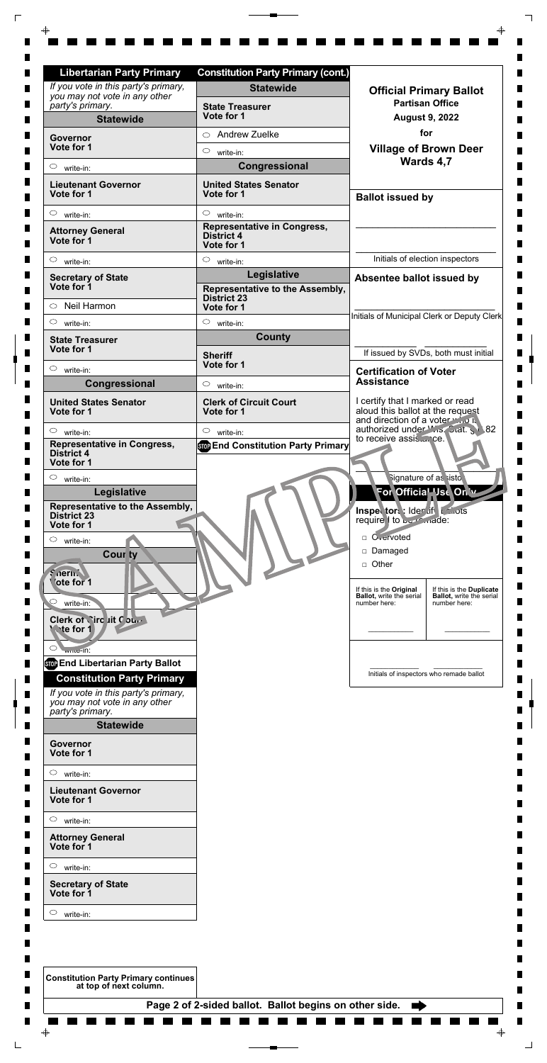| .                                                                     |                                                        |  |             |
|-----------------------------------------------------------------------|--------------------------------------------------------|--|-------------|
| $\circ$<br>write-in:                                                  |                                                        |  |             |
| <b>Lieutenant Governor</b><br>Vote for 1                              |                                                        |  |             |
| $\circ$<br>write-in:                                                  |                                                        |  |             |
| <b>Attorney General</b><br>Vote for 1                                 |                                                        |  |             |
| $\circ$<br>write-in:                                                  |                                                        |  |             |
| <b>Secretary of State</b><br>Vote for 1                               |                                                        |  |             |
| $\circ$<br>write-in:                                                  |                                                        |  |             |
| <b>Constitution Party Primary continues</b><br>at top of next column. |                                                        |  |             |
|                                                                       | Page 2 of 2-sided ballot. Ballot begins on other side. |  |             |
|                                                                       |                                                        |  |             |
| ⊕                                                                     |                                                        |  | $\bigoplus$ |

| <b>Libertarian Party Primary</b>                                                          | <b>Constitution Party Primary (cont.)</b>                             |                                                                                                        |
|-------------------------------------------------------------------------------------------|-----------------------------------------------------------------------|--------------------------------------------------------------------------------------------------------|
| If you vote in this party's primary,<br>you may not vote in any other                     | <b>Statewide</b>                                                      | <b>Official Primary Ballot</b>                                                                         |
| party's primary.                                                                          | <b>State Treasurer</b>                                                | <b>Partisan Office</b>                                                                                 |
| <b>Statewide</b>                                                                          | Vote for 1                                                            | <b>August 9, 2022</b>                                                                                  |
| Governor<br>Vote for 1                                                                    | <b>Andrew Zuelke</b><br>$\bigcirc$                                    | for                                                                                                    |
|                                                                                           | $\circ$<br>write-in:                                                  | <b>Village of Brown Deer</b><br>Wards 4,7                                                              |
| $\circ$<br>write-in:                                                                      | Congressional                                                         |                                                                                                        |
| <b>Lieutenant Governor</b><br>Vote for 1                                                  | <b>United States Senator</b><br>Vote for 1                            | <b>Ballot issued by</b>                                                                                |
| $\circ$<br>write-in:                                                                      | $\circ$<br>write-in:                                                  |                                                                                                        |
| <b>Attorney General</b><br>Vote for 1                                                     | <b>Representative in Congress,</b><br><b>District 4</b><br>Vote for 1 |                                                                                                        |
| $\circ$<br>write-in:                                                                      | $\circ$<br>write-in:                                                  | Initials of election inspectors                                                                        |
| <b>Secretary of State</b>                                                                 | Legislative                                                           | Absentee ballot issued by                                                                              |
| Vote for 1<br>Neil Harmon<br>$\circ$                                                      | Representative to the Assembly,<br><b>District 23</b><br>Vote for 1   |                                                                                                        |
| $\circ$<br>write-in:                                                                      | $\circ$<br>write-in:                                                  | Initials of Municipal Clerk or Deputy Clerk                                                            |
| <b>State Treasurer</b>                                                                    | <b>County</b>                                                         |                                                                                                        |
| Vote for 1                                                                                | <b>Sheriff</b>                                                        | If issued by SVDs, both must initial                                                                   |
| $\circ$<br>write-in:                                                                      | Vote for 1                                                            | <b>Certification of Voter</b>                                                                          |
| Congressional                                                                             | $\circ$<br>write-in:                                                  | <b>Assistance</b>                                                                                      |
| <b>United States Senator</b><br>Vote for 1                                                | <b>Clerk of Circuit Court</b><br>Vote for 1                           | I certify that I marked or read<br>aloud this ballot at the request<br>and direction of a voter who is |
| $\circ$<br>write-in:                                                                      | $\circ$<br>write-in:                                                  | authorized under Wis. Stat. § 82<br>to receive assisce.                                                |
| <b>Representative in Congress,</b><br><b>District 4</b><br>Vote for 1                     | <b>Stop End Constitution Party Primary</b>                            |                                                                                                        |
| $\circ$<br>write-in:                                                                      |                                                                       | Signature of as sisto                                                                                  |
| Legislative<br>Representative to the Assembly,                                            |                                                                       | For Official Use On w                                                                                  |
| <b>District 23</b>                                                                        |                                                                       | Inspector: Ider if Lanots<br>require 1 to be made:                                                     |
| Vote for 1<br>$\circ$<br>write-in:                                                        |                                                                       | □ O <sub>vervoted</sub>                                                                                |
| <b>Cour ty</b>                                                                            |                                                                       | Damaged                                                                                                |
| $$$ $\alpha$ erin $~$                                                                     |                                                                       | Other<br>$\Box$                                                                                        |
| 'ote for 1                                                                                |                                                                       | If this is the Original<br>If this is the Duplicate                                                    |
| write-in:                                                                                 |                                                                       | <b>Ballot, write the serial</b><br><b>Ballot, write the serial</b><br>number here:<br>number here:     |
| Clerk of <i>Sircuit Court</i><br><b>Wate for 1</b>                                        |                                                                       |                                                                                                        |
| $\circ$<br>$w1$ $w2$ $n1$                                                                 |                                                                       |                                                                                                        |
| <b>STOP End Libertarian Party Ballot</b>                                                  |                                                                       | Initials of inspectors who remade ballot                                                               |
| <b>Constitution Party Primary</b>                                                         |                                                                       |                                                                                                        |
| If you vote in this party's primary,<br>you may not vote in any other<br>party's primary. |                                                                       |                                                                                                        |

 $\overline{\Gamma}$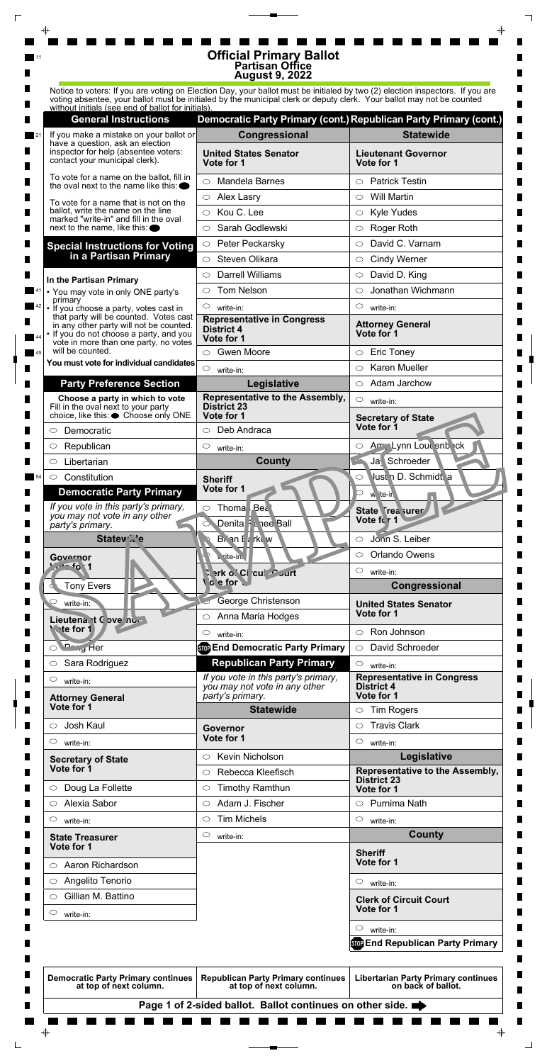|  |    |                                                                                                                                                                       | <b>Official Primary Ballot</b><br><b>Partisan Office</b><br><b>August 9, 2022</b>                                             |                                                                   |  |
|--|----|-----------------------------------------------------------------------------------------------------------------------------------------------------------------------|-------------------------------------------------------------------------------------------------------------------------------|-------------------------------------------------------------------|--|
|  |    |                                                                                                                                                                       | Notice to voters: If you are voting on Election Day, your ballot must be initialed by two (2) election inspectors. If you are |                                                                   |  |
|  |    | without initials (see end of ballot for initials).                                                                                                                    | voting absentee, your ballot must be initialed by the municipal clerk or deputy clerk. Your ballot may not be counted         |                                                                   |  |
|  |    | <b>General Instructions</b>                                                                                                                                           |                                                                                                                               | Democratic Party Primary (cont.) Republican Party Primary (cont.) |  |
|  |    | If you make a mistake on your ballot or<br>have a question, ask an election                                                                                           | Congressional                                                                                                                 | <b>Statewide</b>                                                  |  |
|  |    | inspector for help (absentee voters:<br>contact your municipal clerk).                                                                                                | <b>United States Senator</b><br>Vote for 1                                                                                    | <b>Lieutenant Governor</b><br>Vote for 1                          |  |
|  |    | To vote for a name on the ballot, fill in<br>the oval next to the name like this: $\bullet$                                                                           | <b>Mandela Barnes</b><br>$\bigcirc$                                                                                           | <b>Patrick Testin</b><br>$\bigcirc$                               |  |
|  |    | To vote for a name that is not on the                                                                                                                                 | Alex Lasry<br>$\circ$                                                                                                         | <b>Will Martin</b><br>$\circlearrowright$                         |  |
|  |    | ballot, write the name on the line<br>marked "write-in" and fill in the oval<br>next to the name, like this: $\bullet$                                                | Kou C. Lee<br>$\circ$                                                                                                         | <b>Kyle Yudes</b><br>$\circ$                                      |  |
|  |    |                                                                                                                                                                       | Sarah Godlewski<br>◯                                                                                                          | Roger Roth<br>$\bigcirc$                                          |  |
|  |    | <b>Special Instructions for Voting</b>                                                                                                                                | Peter Peckarsky<br>$\circ$                                                                                                    | David C. Varnam<br>◯                                              |  |
|  |    | in a Partisan Primary                                                                                                                                                 | Steven Olikara<br>$\bigcirc$                                                                                                  | <b>Cindy Werner</b><br>$\circ$                                    |  |
|  |    | In the Partisan Primary                                                                                                                                               | <b>Darrell Williams</b><br>⌒                                                                                                  | David D. King<br>$\circlearrowright$                              |  |
|  |    | • You may vote in only ONE party's                                                                                                                                    | <b>Tom Nelson</b><br>◯                                                                                                        | Jonathan Wichmann<br>◯                                            |  |
|  |    | primary<br>• If you choose a party, votes cast in                                                                                                                     | $\circ$<br>write-in:                                                                                                          | $\circlearrowright$<br>write-in:                                  |  |
|  |    | that party will be counted. Votes cast<br>in any other party will not be counted.<br>• If you do not choose a party, and you<br>vote in more than one party, no votes | <b>Representative in Congress</b><br><b>District 4</b><br>Vote for 1                                                          | <b>Attorney General</b><br>Vote for 1                             |  |
|  | 45 | will be counted.                                                                                                                                                      | <b>Gwen Moore</b><br>$\circ$                                                                                                  | <b>Eric Toney</b><br>$\circlearrowright$                          |  |
|  |    | You must vote for individual candidates                                                                                                                               | $\circ$<br>write-in:                                                                                                          | <b>Karen Mueller</b><br>O                                         |  |
|  |    | <b>Party Preference Section</b>                                                                                                                                       | Legislative                                                                                                                   | $\circ$ Adam Jarchow                                              |  |
|  | ш  | Choose a party in which to vote<br>Fill in the oval next to your party<br>choice, like this: ● Choose only ONE                                                        | Representative to the Assembly,<br><b>District 23</b>                                                                         | $\circ$<br>write-in:                                              |  |
|  |    |                                                                                                                                                                       | Vote for 1                                                                                                                    | <b>Secretary of State</b>                                         |  |
|  |    | Democratic                                                                                                                                                            | Deb Andraca<br>$\circ$                                                                                                        | Vote for 1                                                        |  |
|  |    | Republican<br>O                                                                                                                                                       | $\circ$<br>write-in:                                                                                                          | Amy Lynn Lour enb ck<br>$\circ$                                   |  |
|  |    | Libertarian<br>O                                                                                                                                                      | <b>County</b>                                                                                                                 | Ja Schroeder                                                      |  |
|  |    | $\circ$ Constitution                                                                                                                                                  | <b>Sheriff</b>                                                                                                                | Just n D. Schmidt a<br>O                                          |  |
|  |    | <b>Democratic Party Primary</b>                                                                                                                                       | Vote for 1                                                                                                                    | w ite-in                                                          |  |
|  |    | If you vote in this party's primary,<br>you may not vote in any other                                                                                                 | Thoma Bea<br>$\circ$                                                                                                          | State Trea surer                                                  |  |
|  |    | party's primary.                                                                                                                                                      | Denita F & nee Ball                                                                                                           | Vote for 1                                                        |  |
|  |    | <b>Statew</b> Ne                                                                                                                                                      | Brian F & rkew                                                                                                                | Jonn S. Leiber<br>$\circlearrowright$                             |  |
|  |    | Governor                                                                                                                                                              | v. rite-in.                                                                                                                   | Orlando Owens<br>$\circ$                                          |  |
|  |    | 20.1                                                                                                                                                                  | िश o`Ci cui Curt                                                                                                              | $\circ$<br>write-in:                                              |  |
|  |    | <b>Tony Evers</b>                                                                                                                                                     | o e for                                                                                                                       | Congressional                                                     |  |
|  |    | $\circ$<br>write-in:                                                                                                                                                  | George Christenson                                                                                                            | <b>United States Senator</b>                                      |  |
|  |    | Lieutena. t C ove no<br><b>Wate for 1</b>                                                                                                                             | Anna Maria Hodges<br>$\circ$                                                                                                  | Vote for 1<br>Ron Johnson<br>$\circ$                              |  |
|  |    | O Dang Her                                                                                                                                                            | $\circ$<br>write-in:<br><b>Stop End Democratic Party Primary</b>                                                              | David Schroeder<br>$\circ$                                        |  |
|  |    | Sara Rodriguez<br>$\circ$                                                                                                                                             | <b>Republican Party Primary</b>                                                                                               | $\circ$                                                           |  |
|  |    |                                                                                                                                                                       | If you vote in this party's primary,                                                                                          | write-in:<br><b>Representative in Congress</b>                    |  |
|  |    | $\circlearrowright$<br>write-in:                                                                                                                                      | you may not vote in any other<br>party's primary.                                                                             | <b>District 4</b><br>Vote for 1                                   |  |
|  |    | <b>Attorney General</b><br>Vote for 1                                                                                                                                 | <b>Statewide</b>                                                                                                              | <b>Tim Rogers</b><br>$\circ$                                      |  |
|  |    | Josh Kaul<br>$\bigcirc$                                                                                                                                               |                                                                                                                               | <b>Travis Clark</b><br>$\circlearrowright$                        |  |
|  |    | C<br>write-in:                                                                                                                                                        | <b>Governor</b><br>Vote for 1                                                                                                 | $\circlearrowright$<br>write-in:                                  |  |
|  |    |                                                                                                                                                                       | <b>Kevin Nicholson</b><br>$\circ$                                                                                             | Legislative                                                       |  |
|  |    | <b>Secretary of State</b>                                                                                                                                             |                                                                                                                               |                                                                   |  |

| <b>Secretary of State</b>                                           | <b>NEVILL INIGHUISULE</b>                                           | Legislative                                                      |
|---------------------------------------------------------------------|---------------------------------------------------------------------|------------------------------------------------------------------|
| Vote for 1                                                          | Rebecca Kleefisch<br>$\bigcirc$                                     | Representative to the Assembly,                                  |
| Doug La Follette<br>$\circ$                                         | <b>Timothy Ramthun</b><br>$\circ$                                   | <b>District 23</b><br>Vote for 1                                 |
| Alexia Sabor<br>$\bigcirc$                                          | Adam J. Fischer<br>$\circ$                                          | Purnima Nath<br>$\bigcirc$                                       |
| $\circ$<br>write-in:                                                | <b>Tim Michels</b><br>$\circ$                                       | $\circ$<br>write-in:                                             |
| <b>State Treasurer</b>                                              | $\circ$<br>write-in:                                                | <b>County</b>                                                    |
| Vote for 1                                                          |                                                                     | <b>Sheriff</b>                                                   |
| Aaron Richardson<br>$\circ$                                         |                                                                     | Vote for 1                                                       |
| Angelito Tenorio<br>O                                               |                                                                     | $\circ$<br>write-in:                                             |
| Gillian M. Battino<br>◯                                             |                                                                     | <b>Clerk of Circuit Court</b>                                    |
| O<br>write-in:                                                      |                                                                     | Vote for 1                                                       |
|                                                                     |                                                                     | $\circ$<br>write-in:                                             |
|                                                                     |                                                                     | <b>Stop End Republican Party Primary</b>                         |
|                                                                     |                                                                     |                                                                  |
| <b>Democratic Party Primary continues</b><br>at top of next column. | <b>Republican Party Primary continues</b><br>at top of next column. | <b>Libertarian Party Primary continues</b><br>on back of ballot. |
|                                                                     | Page 1 of 2-sided ballot. Ballot continues on other side.           |                                                                  |
|                                                                     |                                                                     |                                                                  |
| $\bigoplus$                                                         |                                                                     | $\color{red} \blacklozenge$                                      |
|                                                                     |                                                                     |                                                                  |